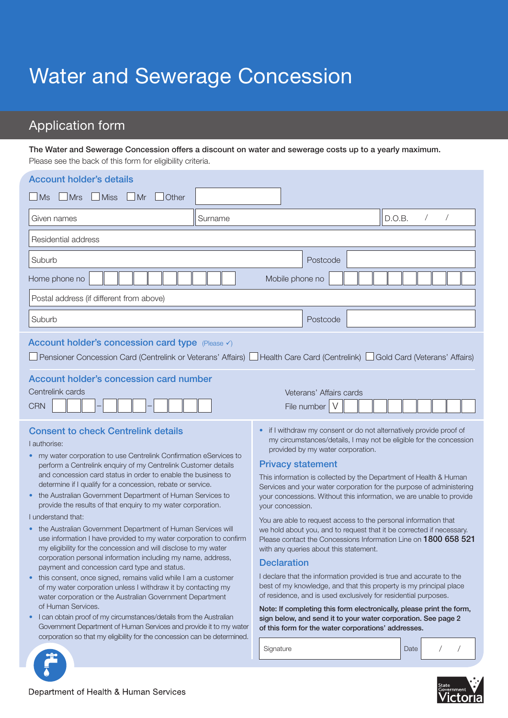# Water and Sewerage Concession

## Application form

The Water and Sewerage Concession offers a discount on water and sewerage costs up to a yearly maximum. Please see the back of this form for eligibility criteria.

| <b>Account holder's details</b><br>$\Box$ Miss<br>$\Box$ Mrs<br>$\Box$ Mr<br>$\Box$ Ms<br>Other                                                                                                                                                                                                                                                                                                                                                                                                                                                                                                                                                                                                                                                                                                                                                                                                                                                                                                                                                                                                                                                                                                                                                                                                               |                                                                                                                                                                                                                                                                                                                                                                                                                                                                                                                                                                                                                                                                                                                                                                                                                                                                                                                                                                                                                                                                                                                                                              |
|---------------------------------------------------------------------------------------------------------------------------------------------------------------------------------------------------------------------------------------------------------------------------------------------------------------------------------------------------------------------------------------------------------------------------------------------------------------------------------------------------------------------------------------------------------------------------------------------------------------------------------------------------------------------------------------------------------------------------------------------------------------------------------------------------------------------------------------------------------------------------------------------------------------------------------------------------------------------------------------------------------------------------------------------------------------------------------------------------------------------------------------------------------------------------------------------------------------------------------------------------------------------------------------------------------------|--------------------------------------------------------------------------------------------------------------------------------------------------------------------------------------------------------------------------------------------------------------------------------------------------------------------------------------------------------------------------------------------------------------------------------------------------------------------------------------------------------------------------------------------------------------------------------------------------------------------------------------------------------------------------------------------------------------------------------------------------------------------------------------------------------------------------------------------------------------------------------------------------------------------------------------------------------------------------------------------------------------------------------------------------------------------------------------------------------------------------------------------------------------|
| Surname<br>Given names                                                                                                                                                                                                                                                                                                                                                                                                                                                                                                                                                                                                                                                                                                                                                                                                                                                                                                                                                                                                                                                                                                                                                                                                                                                                                        | $\overline{1}$<br>D.O.B.                                                                                                                                                                                                                                                                                                                                                                                                                                                                                                                                                                                                                                                                                                                                                                                                                                                                                                                                                                                                                                                                                                                                     |
| Residential address                                                                                                                                                                                                                                                                                                                                                                                                                                                                                                                                                                                                                                                                                                                                                                                                                                                                                                                                                                                                                                                                                                                                                                                                                                                                                           |                                                                                                                                                                                                                                                                                                                                                                                                                                                                                                                                                                                                                                                                                                                                                                                                                                                                                                                                                                                                                                                                                                                                                              |
| Suburb                                                                                                                                                                                                                                                                                                                                                                                                                                                                                                                                                                                                                                                                                                                                                                                                                                                                                                                                                                                                                                                                                                                                                                                                                                                                                                        | Postcode                                                                                                                                                                                                                                                                                                                                                                                                                                                                                                                                                                                                                                                                                                                                                                                                                                                                                                                                                                                                                                                                                                                                                     |
| Home phone no                                                                                                                                                                                                                                                                                                                                                                                                                                                                                                                                                                                                                                                                                                                                                                                                                                                                                                                                                                                                                                                                                                                                                                                                                                                                                                 | Mobile phone no                                                                                                                                                                                                                                                                                                                                                                                                                                                                                                                                                                                                                                                                                                                                                                                                                                                                                                                                                                                                                                                                                                                                              |
| Postal address (if different from above)                                                                                                                                                                                                                                                                                                                                                                                                                                                                                                                                                                                                                                                                                                                                                                                                                                                                                                                                                                                                                                                                                                                                                                                                                                                                      |                                                                                                                                                                                                                                                                                                                                                                                                                                                                                                                                                                                                                                                                                                                                                                                                                                                                                                                                                                                                                                                                                                                                                              |
| Suburb                                                                                                                                                                                                                                                                                                                                                                                                                                                                                                                                                                                                                                                                                                                                                                                                                                                                                                                                                                                                                                                                                                                                                                                                                                                                                                        | Postcode                                                                                                                                                                                                                                                                                                                                                                                                                                                                                                                                                                                                                                                                                                                                                                                                                                                                                                                                                                                                                                                                                                                                                     |
| Account holder's concession card type (Please v)<br>Pensioner Concession Card (Centrelink or Veterans' Affairs) La Health Care Card (Centrelink) La Gold Card (Veterans' Affairs)                                                                                                                                                                                                                                                                                                                                                                                                                                                                                                                                                                                                                                                                                                                                                                                                                                                                                                                                                                                                                                                                                                                             |                                                                                                                                                                                                                                                                                                                                                                                                                                                                                                                                                                                                                                                                                                                                                                                                                                                                                                                                                                                                                                                                                                                                                              |
| <b>Account holder's concession card number</b><br>Centrelink cards<br><b>CRN</b>                                                                                                                                                                                                                                                                                                                                                                                                                                                                                                                                                                                                                                                                                                                                                                                                                                                                                                                                                                                                                                                                                                                                                                                                                              | Veterans' Affairs cards<br>File number<br>V                                                                                                                                                                                                                                                                                                                                                                                                                                                                                                                                                                                                                                                                                                                                                                                                                                                                                                                                                                                                                                                                                                                  |
| <b>Consent to check Centrelink details</b><br>I authorise:<br>my water corporation to use Centrelink Confirmation eServices to<br>$\bullet$<br>perform a Centrelink enquiry of my Centrelink Customer details<br>and concession card status in order to enable the business to<br>determine if I qualify for a concession, rebate or service.<br>the Australian Government Department of Human Services to<br>$\bullet$<br>provide the results of that enquiry to my water corporation.<br>I understand that:<br>the Australian Government Department of Human Services will<br>use information I have provided to my water corporation to confirm<br>my eligibility for the concession and will disclose to my water<br>corporation personal information including my name, address,<br>payment and concession card type and status.<br>this consent, once signed, remains valid while I am a customer<br>$\bullet$<br>of my water corporation unless I withdraw it by contacting my<br>water corporation or the Australian Government Department<br>of Human Services.<br>I can obtain proof of my circumstances/details from the Australian<br>$\bullet$<br>Government Department of Human Services and provide it to my water<br>corporation so that my eligibility for the concession can be determined. | if I withdraw my consent or do not alternatively provide proof of<br>$\bullet$<br>my circumstances/details, I may not be eligible for the concession<br>provided by my water corporation.<br><b>Privacy statement</b><br>This information is collected by the Department of Health & Human<br>Services and your water corporation for the purpose of administering<br>your concessions. Without this information, we are unable to provide<br>your concession.<br>You are able to request access to the personal information that<br>we hold about you, and to request that it be corrected if necessary.<br>Please contact the Concessions Information Line on 1800 658 521<br>with any queries about this statement.<br><b>Declaration</b><br>I declare that the information provided is true and accurate to the<br>best of my knowledge, and that this property is my principal place<br>of residence, and is used exclusively for residential purposes.<br>Note: If completing this form electronically, please print the form,<br>sign below, and send it to your water corporation. See page 2<br>of this form for the water corporations' addresses. |
|                                                                                                                                                                                                                                                                                                                                                                                                                                                                                                                                                                                                                                                                                                                                                                                                                                                                                                                                                                                                                                                                                                                                                                                                                                                                                                               | Signature<br>Date                                                                                                                                                                                                                                                                                                                                                                                                                                                                                                                                                                                                                                                                                                                                                                                                                                                                                                                                                                                                                                                                                                                                            |